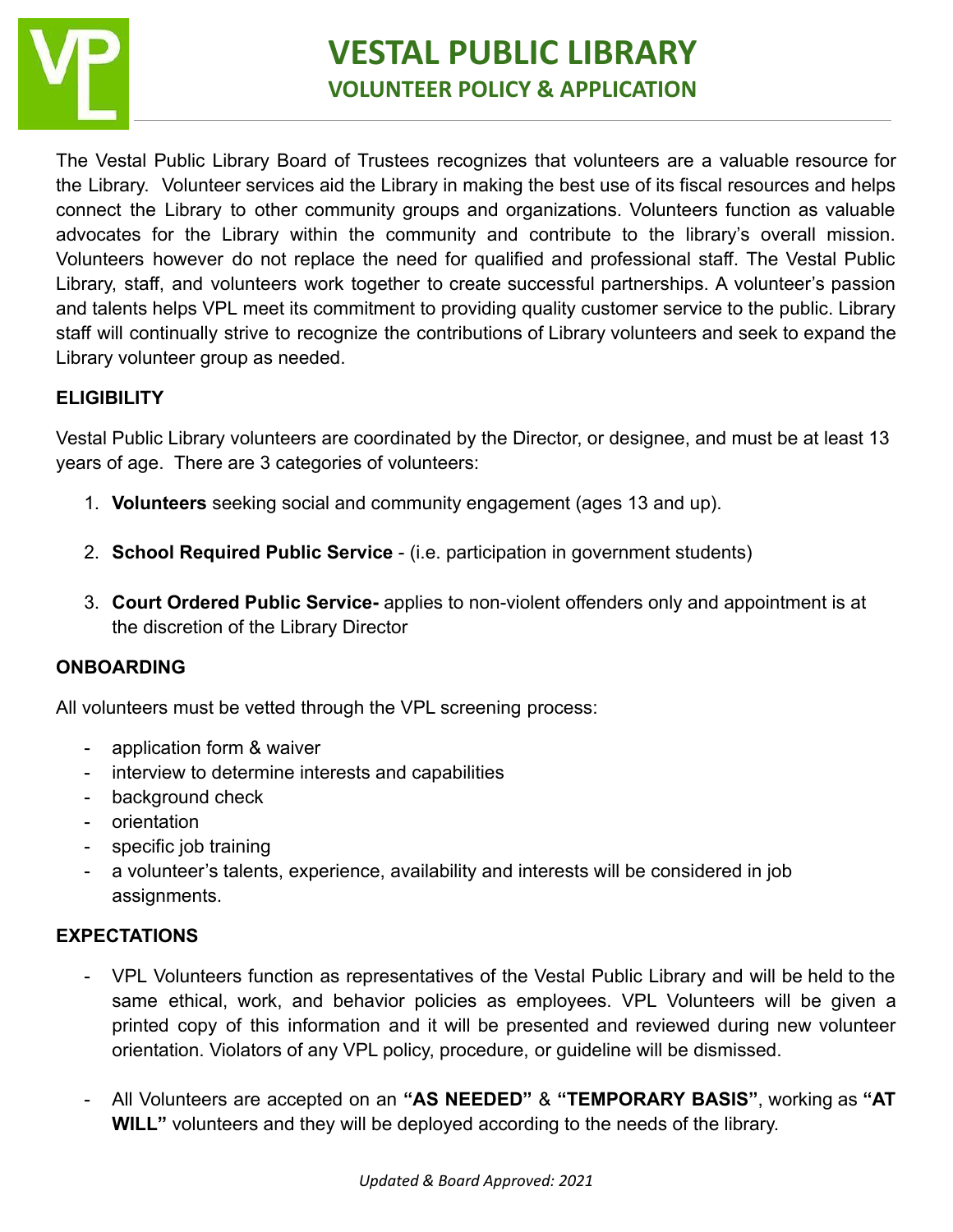

The Vestal Public Library Board of Trustees recognizes that volunteers are a valuable resource for the Library. Volunteer services aid the Library in making the best use of its fiscal resources and helps connect the Library to other community groups and organizations. Volunteers function as valuable advocates for the Library within the community and contribute to the library's overall mission. Volunteers however do not replace the need for qualified and professional staff. The Vestal Public Library, staff, and volunteers work together to create successful partnerships. A volunteer's passion and talents helps VPL meet its commitment to providing quality customer service to the public. Library staff will continually strive to recognize the contributions of Library volunteers and seek to expand the Library volunteer group as needed.

### **ELIGIBILITY**

Vestal Public Library volunteers are coordinated by the Director, or designee, and must be at least 13 years of age. There are 3 categories of volunteers:

- 1. **Volunteers** seeking social and community engagement (ages 13 and up).
- 2. **School Required Public Service** (i.e. participation in government students)
- 3. **Court Ordered Public Service-** applies to non-violent offenders only and appointment is at the discretion of the Library Director

### **ONBOARDING**

All volunteers must be vetted through the VPL screening process:

- application form & waiver
- interview to determine interests and capabilities
- background check
- orientation
- specific job training
- a volunteer's talents, experience, availability and interests will be considered in job assignments.

### **EXPECTATIONS**

- VPL Volunteers function as representatives of the Vestal Public Library and will be held to the same ethical, work, and behavior policies as employees. VPL Volunteers will be given a printed copy of this information and it will be presented and reviewed during new volunteer orientation. Violators of any VPL policy, procedure, or guideline will be dismissed.
- All Volunteers are accepted on an **"AS NEEDED"** & **"TEMPORARY BASIS"**, working as **"AT WILL"** volunteers and they will be deployed according to the needs of the library.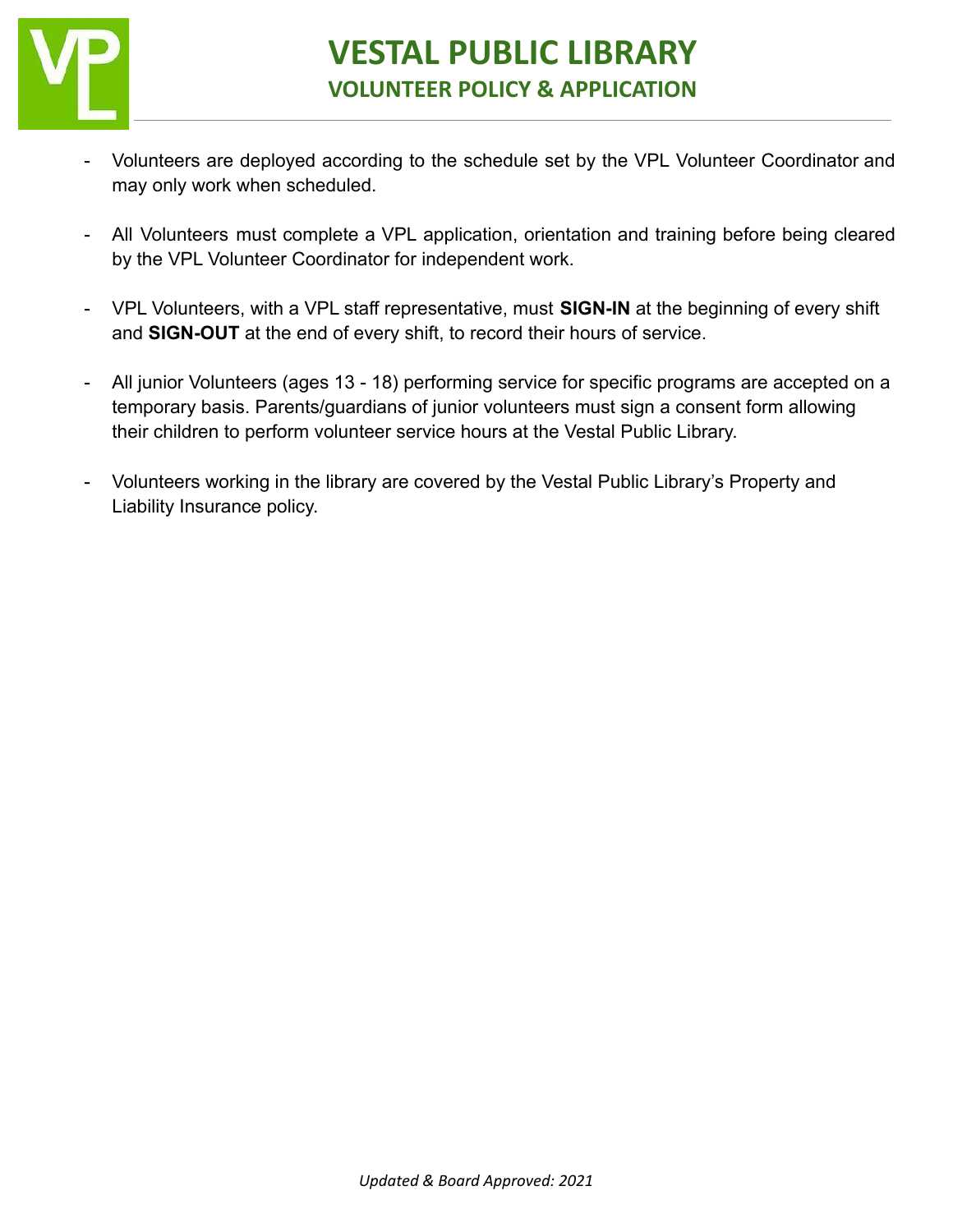

- Volunteers are deployed according to the schedule set by the VPL Volunteer Coordinator and may only work when scheduled.
- All Volunteers must complete a VPL application, orientation and training before being cleared by the VPL Volunteer Coordinator for independent work.
- VPL Volunteers, with a VPL staff representative, must **SIGN-IN** at the beginning of every shift and **SIGN-OUT** at the end of every shift, to record their hours of service.
- All junior Volunteers (ages 13 18) performing service for specific programs are accepted on a temporary basis. Parents/guardians of junior volunteers must sign a consent form allowing their children to perform volunteer service hours at the Vestal Public Library.
- Volunteers working in the library are covered by the Vestal Public Library's Property and Liability Insurance policy.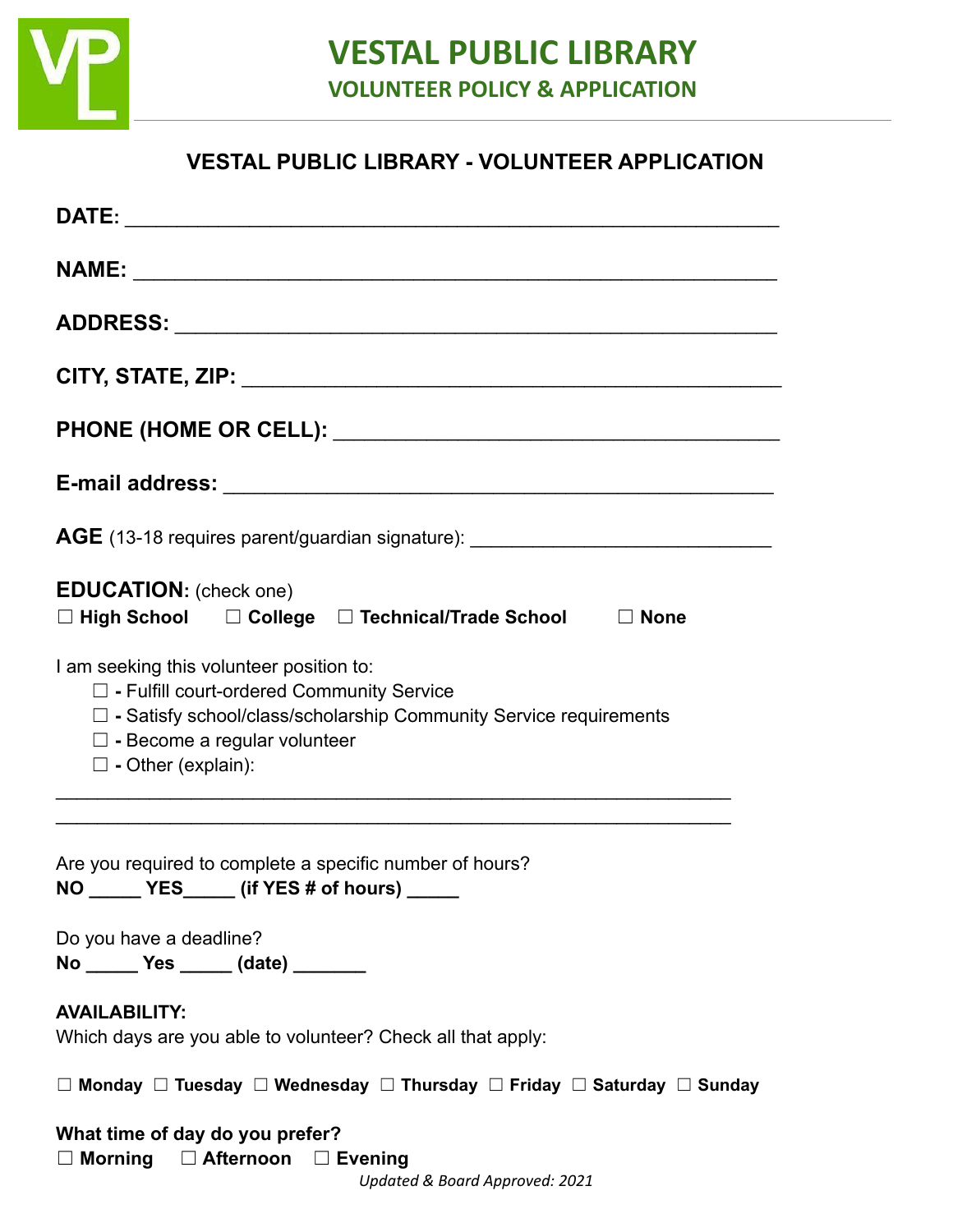

## **VESTAL PUBLIC LIBRARY - VOLUNTEER APPLICATION**

| AGE (13-18 requires parent/guardian signature): ________________________________                                                                                                                                                                                                                            |
|-------------------------------------------------------------------------------------------------------------------------------------------------------------------------------------------------------------------------------------------------------------------------------------------------------------|
| <b>EDUCATION:</b> (check one)<br>□ High School □ College □ Technical/Trade School □ None                                                                                                                                                                                                                    |
| I am seeking this volunteer position to:<br>$\Box$ - Fulfill court-ordered Community Service<br>$\Box$ - Satisfy school/class/scholarship Community Service requirements<br>$\Box$ - Become a regular volunteer<br>$\Box$ - Other (explain):<br><u> 1989 - Johann Stoff, amerikansk politiker (d. 1989)</u> |
| Are you required to complete a specific number of hours?<br>YES_____ (if YES # of hours)<br><b>NO</b>                                                                                                                                                                                                       |
| Do you have a deadline?<br>No ______ Yes _____ (date) ______                                                                                                                                                                                                                                                |
| <b>AVAILABILITY:</b><br>Which days are you able to volunteer? Check all that apply:                                                                                                                                                                                                                         |
| $\Box$ Monday $\Box$ Tuesday $\Box$ Wednesday $\Box$ Thursday $\Box$ Friday $\Box$ Saturday $\Box$ Sunday                                                                                                                                                                                                   |
| What time of day do you prefer?<br>$\Box$ Morning $\Box$ Afternoon $\Box$ Evening<br>Updated & Board Approved: 2021                                                                                                                                                                                         |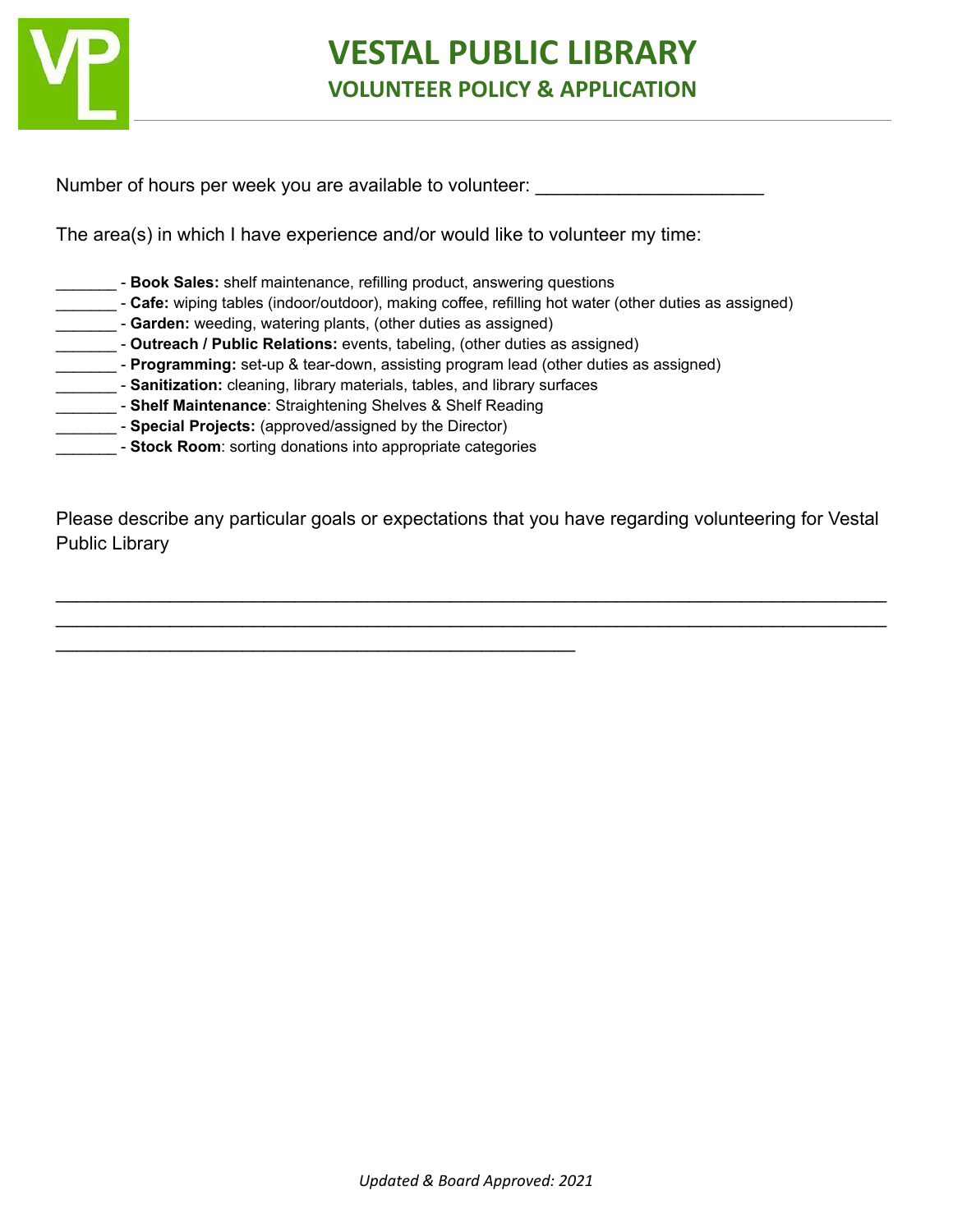

Number of hours per week you are available to volunteer:

The area(s) in which I have experience and/or would like to volunteer my time:

- \_\_\_\_\_\_\_ **Book Sales:** shelf maintenance, refilling product, answering questions
- **Cafe:** wiping tables (indoor/outdoor), making coffee, refilling hot water (other duties as assigned)
- **Carden:** weeding, watering plants, (other duties as assigned)
- \_\_\_\_\_\_\_ **Outreach / Public Relations:** events, tabeling, (other duties as assigned)
- **\_\_\_\_\_\_ Programming:** set-up & tear-down, assisting program lead (other duties as assigned)
- \_\_\_\_\_\_\_ **Sanitization:** cleaning, library materials, tables, and library surfaces
- \_\_\_\_\_\_\_ **Shelf Maintenance**: Straightening Shelves & Shelf Reading

 $\mathcal{L}_\text{max} = \mathcal{L}_\text{max} = \mathcal{L}_\text{max} = \mathcal{L}_\text{max} = \mathcal{L}_\text{max} = \mathcal{L}_\text{max} = \mathcal{L}_\text{max} = \mathcal{L}_\text{max} = \mathcal{L}_\text{max} = \mathcal{L}_\text{max} = \mathcal{L}_\text{max} = \mathcal{L}_\text{max} = \mathcal{L}_\text{max} = \mathcal{L}_\text{max} = \mathcal{L}_\text{max} = \mathcal{L}_\text{max} = \mathcal{L}_\text{max} = \mathcal{L}_\text{max} = \mathcal{$ 

- **\_\_\_\_\_\_\_\_\_ Special Projects:** (approved/assigned by the Director)
- \_\_\_\_\_\_\_ **Stock Room**: sorting donations into appropriate categories

Please describe any particular goals or expectations that you have regarding volunteering for Vestal Public Library

 $\_$ \_\_\_\_\_\_\_\_\_\_\_\_\_\_\_\_\_\_\_\_\_\_\_\_\_\_\_\_\_\_\_\_\_\_\_\_\_\_\_\_\_\_\_\_\_\_\_\_\_\_\_\_\_\_\_\_\_\_\_\_\_\_\_\_\_\_\_\_\_\_\_\_\_\_\_\_\_\_\_\_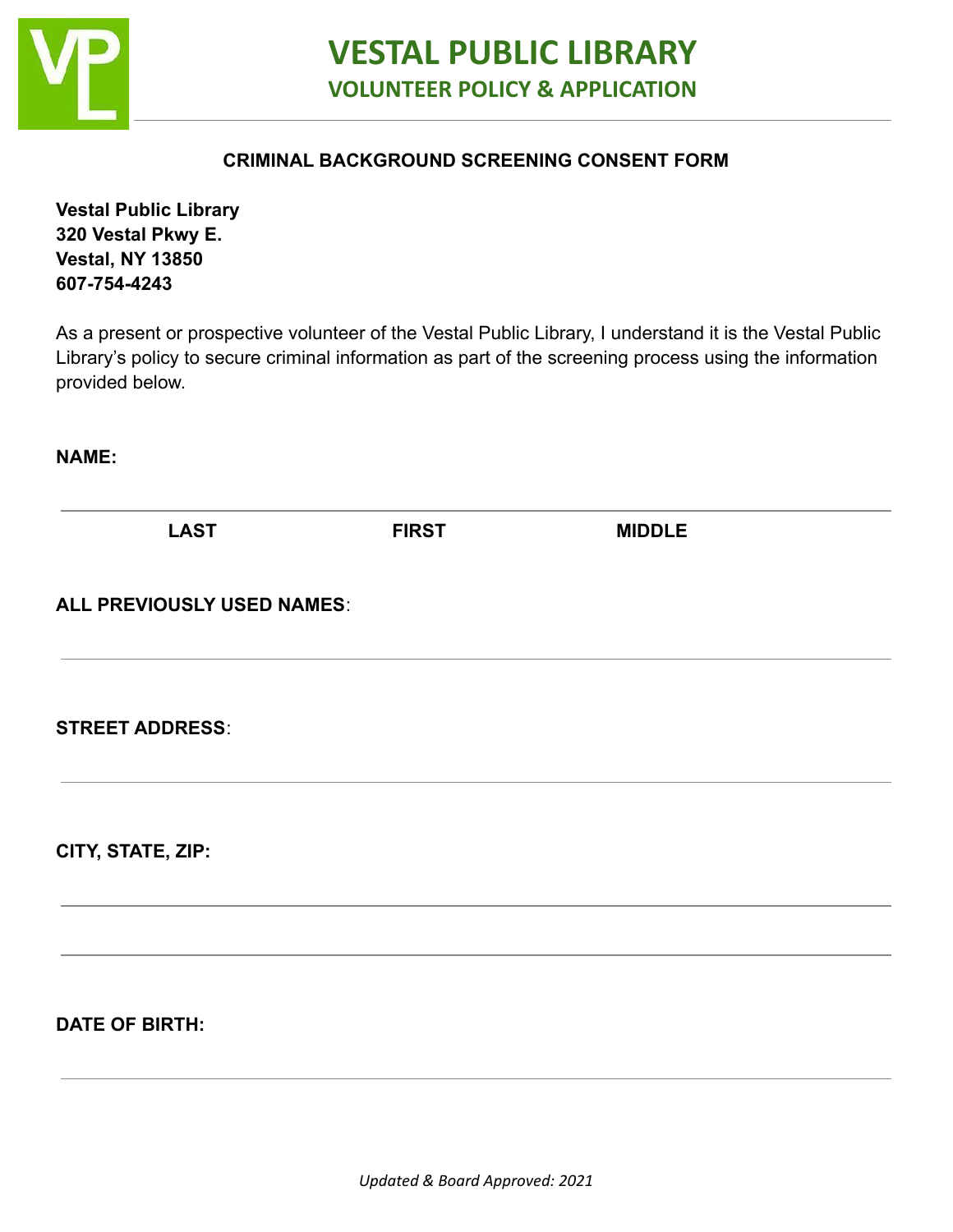

### **CRIMINAL BACKGROUND SCREENING CONSENT FORM**

**Vestal Public Library 320 Vestal Pkwy E. Vestal, NY 13850 607-754-4243**

As a present or prospective volunteer of the Vestal Public Library, I understand it is the Vestal Public Library's policy to secure criminal information as part of the screening process using the information provided below.

**NAME:**

| <b>LAST</b>                | <b>FIRST</b> | <b>MIDDLE</b> |  |
|----------------------------|--------------|---------------|--|
| ALL PREVIOUSLY USED NAMES: |              |               |  |
| <b>STREET ADDRESS:</b>     |              |               |  |
| CITY, STATE, ZIP:          |              |               |  |
| <b>DATE OF BIRTH:</b>      |              |               |  |